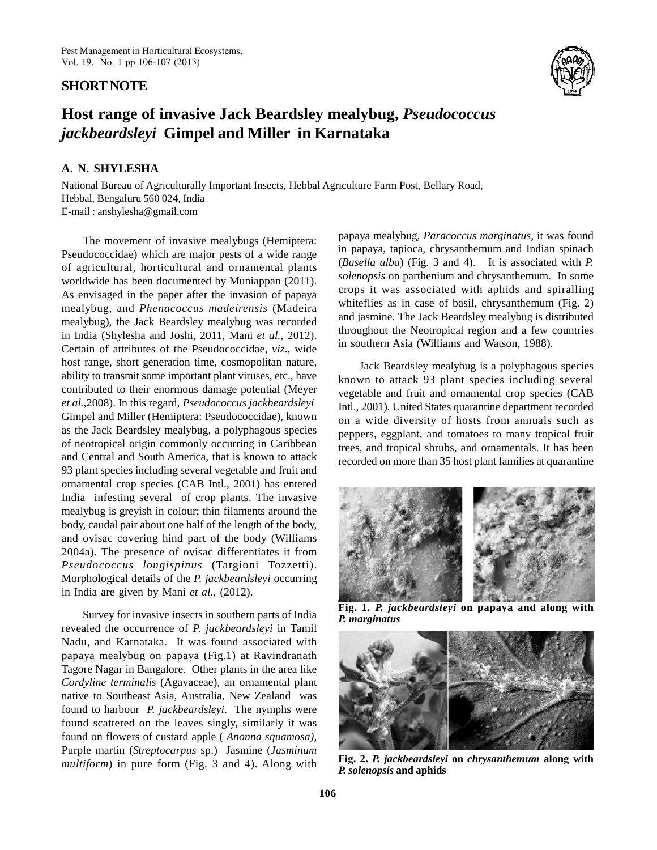## **SHORT NOTE**



## **Host range of invasive Jack Beardsley mealybug,** *Pseudococcus jackbeardsleyi* **Gimpel and Miller in Karnataka**

## **A. N. SHYLESHA**

National Bureau of Agriculturally Important Insects, Hebbal Agriculture Farm Post, Bellary Road, Hebbal, Bengaluru 560 024, India E-mail : [anshylesha@gmail.com](mailto:anshylesha@gmail.com)

The movement of invasive mealybugs (Hemiptera: Pseudococcidae) which are major pests of a wide range of agricultural, horticultural and ornamental plants worldwide has been documented by Muniappan (2011). As envisaged in the paper after the invasion of papaya mealybug, and *Phenacoccus madeirensis* (Madeira mealybug), the Jack Beardsley mealybug was recorded in India (Shylesha and Joshi, 2011, Mani *et al.,* 2012). Certain of attributes of the Pseudococcidae, *viz.*, wide host range, short generation time, cosmopolitan nature, ability to transmit some important plant viruses, etc., have contributed to their enormous damage potential (Meyer *et al.*,2008). In this regard, *Pseudococcus jackbeardsleyi* Gimpel and Miller (Hemiptera: Pseudococcidae), known as the Jack Beardsley mealybug, a polyphagous species of neotropical origin commonly occurring in Caribbean and Central and South America, that is known to attack 93 plant species including several vegetable and fruit and ornamental crop species (CAB Intl., 2001) has entered India infesting several of crop plants. The invasive mealybug is greyish in colour; thin filaments around the body, caudal pair about one half of the length of the body, and ovisac covering hind part of the body (Williams 2004a). The presence of ovisac differentiates it from *Pseudococcus longispinus* (Targioni Tozzetti). Morphological details of the *P. jackbeardsleyi* occurring in India are given by Mani *et al.,* (2012).

Survey for invasive insects in southern parts of India revealed the occurrence of *P. jackbeardsleyi* in Tamil Nadu, and Karnataka. It was found associated with papaya mealybug on papaya (Fig.1) at Ravindranath Tagore Nagar in Bangalore. Other plants in the area like *Cordyline terminalis* (Agavaceae), an ornamental plant native to Southeast Asia, Australia, New Zealand was found to harbour *P. jackbeardsleyi*. The nymphs were found scattered on the leaves singly, similarly it was found on flowers of custard apple ( *Anonna squamosa),* Purple martin (*Streptocarpus* sp.) Jasmine (*Jasminum multiform*) in pure form (Fig. 3 and 4). Along with

papaya mealybug, *Paracoccus marginatus,* it was found in papaya, tapioca, chrysanthemum and Indian spinach (*Basella alba*) (Fig. 3 and 4). It is associated with *P. solenopsis* on parthenium and chrysanthemum. In some crops it was associated with aphids and spiralling whiteflies as in case of basil, chrysanthemum (Fig. 2) and jasmine. The Jack Beardsley mealybug is distributed throughout the Neotropical region and a few countries in southern Asia (Williams and Watson, 1988).

Jack Beardsley mealybug is a polyphagous species known to attack 93 plant species including several vegetable and fruit and ornamental crop species (CAB Intl., 2001). United States quarantine department recorded on a wide diversity of hosts from annuals such as peppers, eggplant, and tomatoes to many tropical fruit trees, and tropical shrubs, and ornamentals. It has been recorded on more than 35 host plant families at quarantine



**Fig. 1***. P. jackbeardsleyi* **on papaya and along with** *P. marginatus*



**Fig. 2.** *P. jackbeardsleyi* **on** *chrysanthemum* **along with** *P. solenopsis* **and aphids**